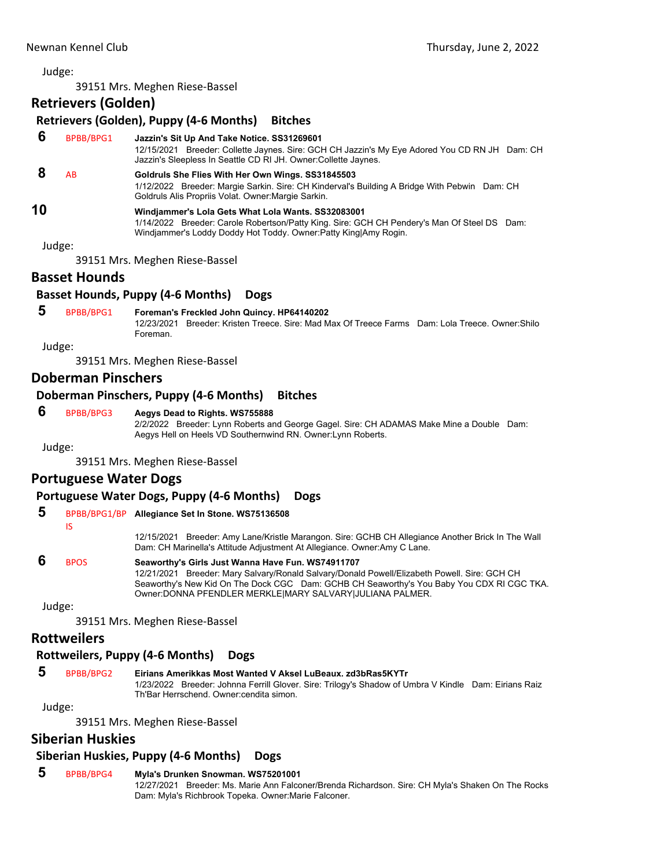Judge:

39151 Mrs. Meghen Riese‐Bassel

## **Retrievers (Golden)**

| Retrievers (Golden), Puppy (4-6 Months)<br><b>Bitches</b> |           |                                                                                                                                                                                                                       |
|-----------------------------------------------------------|-----------|-----------------------------------------------------------------------------------------------------------------------------------------------------------------------------------------------------------------------|
| 6                                                         | BPBB/BPG1 | Jazzin's Sit Up And Take Notice. SS31269601<br>12/15/2021 Breeder: Collette Jaynes. Sire: GCH CH Jazzin's My Eye Adored You CD RN JH Dam: CH<br>Jazzin's Sleepless In Seattle CD RI JH. Owner: Collette Jaynes.       |
| 8                                                         | AB        | Goldruls She Flies With Her Own Wings. SS31845503<br>1/12/2022 Breeder: Margie Sarkin. Sire: CH Kinderval's Building A Bridge With Pebwin Dam: CH<br>Goldruls Alis Propriis Volat. Owner: Margie Sarkin.              |
| 10                                                        |           | Windiammer's Lola Gets What Lola Wants. SS32083001<br>1/14/2022 Breeder: Carole Robertson/Patty King. Sire: GCH CH Pendery's Man Of Steel DS Dam:<br>Windjammer's Loddy Doddy Hot Toddy. Owner: Patty King Amy Rogin. |
| Judge:                                                    |           |                                                                                                                                                                                                                       |
|                                                           |           | 39151 Mrs. Meghen Riese-Bassel                                                                                                                                                                                        |

## **Basset Hounds**

## **Basset Hounds, Puppy (4‐6 Months) Dogs**

 **5** BPBB/BPG1 **Foreman's Freckled John Quincy. HP64140202**

12/23/2021 Breeder: Kristen Treece. Sire: Mad Max Of Treece Farms Dam: Lola Treece. Owner:Shilo Foreman.

Judge:

39151 Mrs. Meghen Riese‐Bassel

## **Doberman Pinschers**

#### **Doberman Pinschers, Puppy (4‐6 Months) Bitches**

## **6** BPBB/BPG3 **Aegys Dead to Rights. WS755888**

2/2/2022 Breeder: Lynn Roberts and George Gagel. Sire: CH ADAMAS Make Mine a Double Dam: Aegys Hell on Heels VD Southernwind RN. Owner:Lynn Roberts.

Judge:

39151 Mrs. Meghen Riese‐Bassel

## **Portuguese Water Dogs**

## **Portuguese Water Dogs, Puppy (4‐6 Months) Dogs**

## **5** BPBB/BPG1/BP **Allegiance Set In Stone. WS75136508**

IS

12/15/2021 Breeder: Amy Lane/Kristle Marangon. Sire: GCHB CH Allegiance Another Brick In The Wall Dam: CH Marinella's Attitude Adjustment At Allegiance. Owner:Amy C Lane.

## **6** BPOS **Seaworthy's Girls Just Wanna Have Fun. WS74911707**

12/21/2021 Breeder: Mary Salvary/Ronald Salvary/Donald Powell/Elizabeth Powell. Sire: GCH CH Seaworthy's New Kid On The Dock CGC Dam: GCHB CH Seaworthy's You Baby You CDX RI CGC TKA. Owner:DONNA PFENDLER MERKLE|MARY SALVARY|JULIANA PALMER.

Judge:

39151 Mrs. Meghen Riese‐Bassel

#### **Rottweilers**

## **Rottweilers, Puppy (4‐6 Months) Dogs**

## **5** BPBB/BPG2 **Eirians Amerikkas Most Wanted V Aksel LuBeaux. zd3bRas5KYTr**

1/23/2022 Breeder: Johnna Ferrill Glover. Sire: Trilogy's Shadow of Umbra V Kindle Dam: Eirians Raiz Th'Bar Herrschend. Owner:cendita simon.

Judge:

39151 Mrs. Meghen Riese‐Bassel

## **Siberian Huskies**

## **Siberian Huskies, Puppy (4‐6 Months) Dogs**

## **5** BPBB/BPG4 **Myla's Drunken Snowman. WS75201001**

12/27/2021 Breeder: Ms. Marie Ann Falconer/Brenda Richardson. Sire: CH Myla's Shaken On The Rocks Dam: Myla's Richbrook Topeka. Owner:Marie Falconer.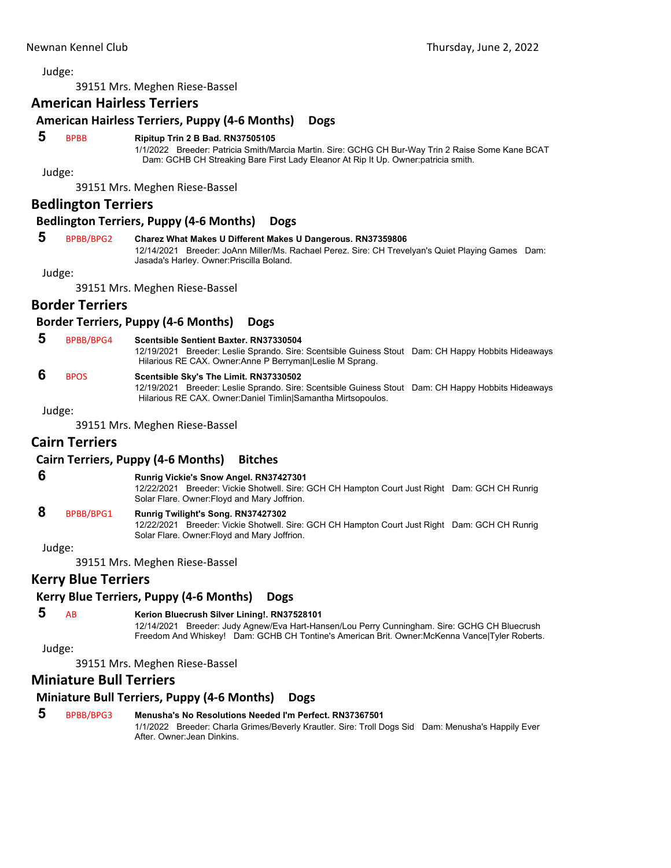Judge:

39151 Mrs. Meghen Riese‐Bassel

## **American Hairless Terriers**

#### **American Hairless Terriers, Puppy (4‐6 Months) Dogs**

#### **5** BPBB **Ripitup Trin 2 B Bad. RN37505105**

1/1/2022 Breeder: Patricia Smith/Marcia Martin. Sire: GCHG CH Bur-Way Trin 2 Raise Some Kane BCAT Dam: GCHB CH Streaking Bare First Lady Eleanor At Rip It Up. Owner:patricia smith.

Judge:

39151 Mrs. Meghen Riese‐Bassel

#### **Bedlington Terriers**

#### **Bedlington Terriers, Puppy (4‐6 Months) Dogs**

## **5** BPBB/BPG2 **Charez What Makes U Different Makes U Dangerous. RN37359806**

12/14/2021 Breeder: JoAnn Miller/Ms. Rachael Perez. Sire: CH Trevelyan's Quiet Playing Games Dam: Jasada's Harley. Owner:Priscilla Boland.

Judge:

39151 Mrs. Meghen Riese‐Bassel

#### **Border Terriers**

#### **Border Terriers, Puppy (4‐6 Months) Dogs**

#### **5** BPBB/BPG4 **Scentsible Sentient Baxter. RN37330504**

12/19/2021 Breeder: Leslie Sprando. Sire: Scentsible Guiness Stout Dam: CH Happy Hobbits Hideaways Hilarious RE CAX. Owner:Anne P Berryman|Leslie M Sprang.

## **6** BPOS **Scentsible Sky's The Limit. RN37330502**

12/19/2021 Breeder: Leslie Sprando. Sire: Scentsible Guiness Stout Dam: CH Happy Hobbits Hideaways Hilarious RE CAX. Owner:Daniel Timlin|Samantha Mirtsopoulos.

Judge:

39151 Mrs. Meghen Riese‐Bassel

## **Cairn Terriers**

#### **Cairn Terriers, Puppy (4‐6 Months) Bitches**

#### **6 Runrig Vickie's Snow Angel. RN37427301**

12/22/2021 Breeder: Vickie Shotwell. Sire: GCH CH Hampton Court Just Right Dam: GCH CH Runrig Solar Flare. Owner:Floyd and Mary Joffrion.

## **8** BPBB/BPG1 **Runrig Twilight's Song. RN37427302**

12/22/2021 Breeder: Vickie Shotwell. Sire: GCH CH Hampton Court Just Right Dam: GCH CH Runrig Solar Flare. Owner:Floyd and Mary Joffrion.

Judge:

39151 Mrs. Meghen Riese‐Bassel

## **Kerry Blue Terriers**

#### **Kerry Blue Terriers, Puppy (4‐6 Months) Dogs**

#### **5** AB **Kerion Bluecrush Silver Lining!. RN37528101**

12/14/2021 Breeder: Judy Agnew/Eva Hart-Hansen/Lou Perry Cunningham. Sire: GCHG CH Bluecrush Freedom And Whiskey! Dam: GCHB CH Tontine's American Brit. Owner:McKenna Vance|Tyler Roberts.

Judge:

#### 39151 Mrs. Meghen Riese‐Bassel

#### **Miniature Bull Terriers**

#### **Miniature Bull Terriers, Puppy (4‐6 Months) Dogs**

 **5** BPBB/BPG3 **Menusha's No Resolutions Needed I'm Perfect. RN37367501** 1/1/2022 Breeder: Charla Grimes/Beverly Krautler. Sire: Troll Dogs Sid Dam: Menusha's Happily Ever After. Owner:Jean Dinkins.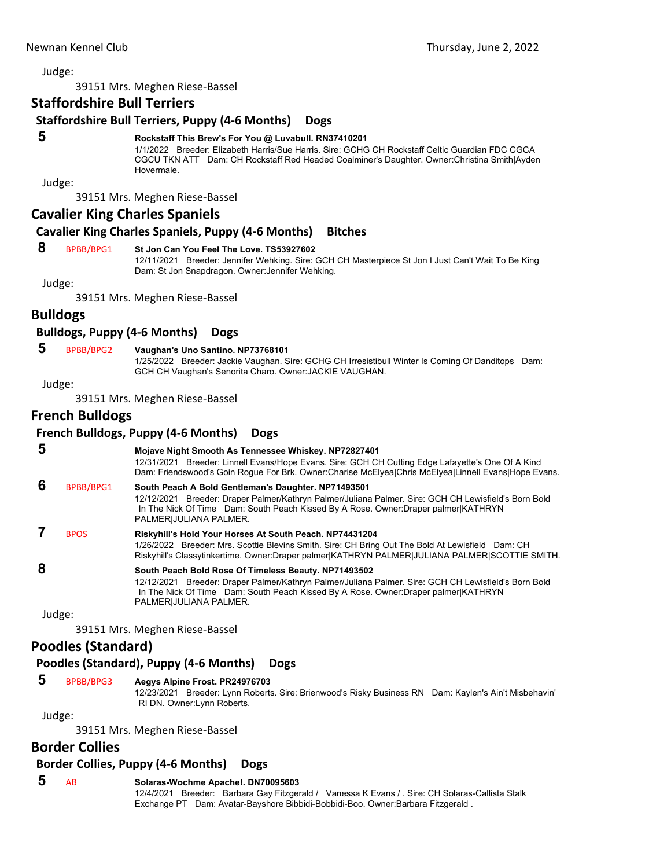Judge:

39151 Mrs. Meghen Riese‐Bassel

## **Staffordshire Bull Terriers**

#### **Staffordshire Bull Terriers, Puppy (4‐6 Months) Dogs**

#### **5 Rockstaff This Brew's For You @ Luvabull. RN37410201**

1/1/2022 Breeder: Elizabeth Harris/Sue Harris. Sire: GCHG CH Rockstaff Celtic Guardian FDC CGCA CGCU TKN ATT Dam: CH Rockstaff Red Headed Coalminer's Daughter. Owner:Christina Smith|Ayden Hovermale.

Judge:

39151 Mrs. Meghen Riese‐Bassel

**Cavalier King Charles Spaniels**

#### **Cavalier King Charles Spaniels, Puppy (4‐6 Months) Bitches**

#### **8** BPBB/BPG1 **St Jon Can You Feel The Love. TS53927602**

12/11/2021 Breeder: Jennifer Wehking. Sire: GCH CH Masterpiece St Jon I Just Can't Wait To Be King Dam: St Jon Snapdragon. Owner:Jennifer Wehking.

Judge:

39151 Mrs. Meghen Riese‐Bassel

## **Bulldogs**

#### **Bulldogs, Puppy (4‐6 Months) Dogs**

 **5** BPBB/BPG2 **Vaughan's Uno Santino. NP73768101**

1/25/2022 Breeder: Jackie Vaughan. Sire: GCHG CH Irresistibull Winter Is Coming Of Danditops Dam: GCH CH Vaughan's Senorita Charo. Owner:JACKIE VAUGHAN.

Judge:

39151 Mrs. Meghen Riese‐Bassel

## **French Bulldogs**

#### **French Bulldogs, Puppy (4‐6 Months) Dogs**

 **5 Mojave Night Smooth As Tennessee Whiskey. NP72827401** 12/31/2021 Breeder: Linnell Evans/Hope Evans. Sire: GCH CH Cutting Edge Lafayette's One Of A Kind Dam: Friendswood's Goin Rogue For Brk. Owner:Charise McElyea|Chris McElyea|Linnell Evans|Hope Evans.  **6** BPBB/BPG1 **South Peach A Bold Gentleman's Daughter. NP71493501** 12/12/2021 Breeder: Draper Palmer/Kathryn Palmer/Juliana Palmer. Sire: GCH CH Lewisfield's Born Bold In The Nick Of Time Dam: South Peach Kissed By A Rose. Owner:Draper palmer|KATHRYN PALMER|JULIANA PALMER.  **7** BPOS **Riskyhill's Hold Your Horses At South Peach. NP74431204** 1/26/2022 Breeder: Mrs. Scottie Blevins Smith. Sire: CH Bring Out The Bold At Lewisfield Dam: CH Riskyhill's Classytinkertime. Owner:Draper palmer|KATHRYN PALMER|JULIANA PALMER|SCOTTIE SMITH.  **8 South Peach Bold Rose Of Timeless Beauty. NP71493502** 12/12/2021 Breeder: Draper Palmer/Kathryn Palmer/Juliana Palmer. Sire: GCH CH Lewisfield's Born Bold In The Nick Of Time Dam: South Peach Kissed By A Rose. Owner:Draper palmer|KATHRYN PALMER|JULIANA PALMER. Judge:

39151 Mrs. Meghen Riese‐Bassel

## **Poodles (Standard)**

#### **Poodles (Standard), Puppy (4‐6 Months) Dogs**

#### **5** BPBB/BPG3 **Aegys Alpine Frost. PR24976703**

12/23/2021 Breeder: Lynn Roberts. Sire: Brienwood's Risky Business RN Dam: Kaylen's Ain't Misbehavin' RI DN. Owner:Lynn Roberts.

Judge:

39151 Mrs. Meghen Riese‐Bassel

## **Border Collies**

#### **Border Collies, Puppy (4‐6 Months) Dogs**

#### **5** AB **Solaras-Wochme Apache!. DN70095603**

12/4/2021 Breeder: Barbara Gay Fitzgerald / Vanessa K Evans / . Sire: CH Solaras-Callista Stalk Exchange PT Dam: Avatar-Bayshore Bibbidi-Bobbidi-Boo. Owner:Barbara Fitzgerald .